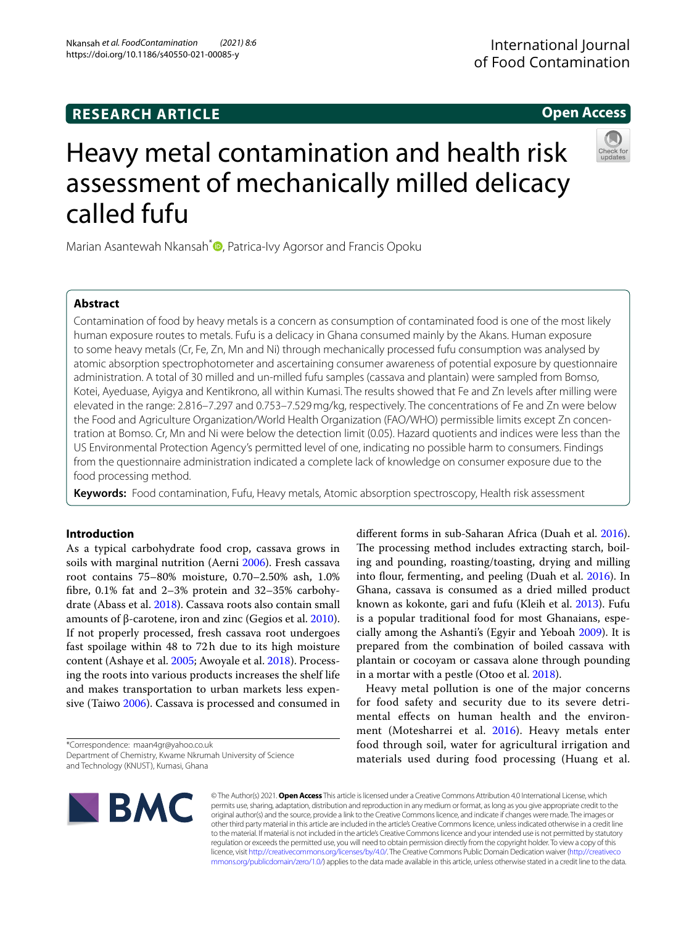Nkansah *et al. FoodContamination (2021) 8:6*  https://doi.org/10.1186/s40550-021-00085-y

# **Open Access**

# Heavy metal contamination and health risk assessment of mechanically milled delicacy called fufu

Marian Asantewah Nkansah<sup>\*</sup> **D**[,](http://orcid.org/0000-0001-6187-6741) Patrica-Ivy Agorsor and Francis Opoku

# **Abstract**

Contamination of food by heavy metals is a concern as consumption of contaminated food is one of the most likely human exposure routes to metals. Fufu is a delicacy in Ghana consumed mainly by the Akans. Human exposure to some heavy metals (Cr, Fe, Zn, Mn and Ni) through mechanically processed fufu consumption was analysed by atomic absorption spectrophotometer and ascertaining consumer awareness of potential exposure by questionnaire administration. A total of 30 milled and un-milled fufu samples (cassava and plantain) were sampled from Bomso, Kotei, Ayeduase, Ayigya and Kentikrono, all within Kumasi. The results showed that Fe and Zn levels after milling were elevated in the range: 2.816–7.297 and 0.753–7.529mg/kg, respectively. The concentrations of Fe and Zn were below the Food and Agriculture Organization/World Health Organization (FAO/WHO) permissible limits except Zn concentration at Bomso. Cr, Mn and Ni were below the detection limit (0.05). Hazard quotients and indices were less than the US Environmental Protection Agency's permitted level of one, indicating no possible harm to consumers. Findings from the questionnaire administration indicated a complete lack of knowledge on consumer exposure due to the food processing method.

**Keywords:** Food contamination, Fufu, Heavy metals, Atomic absorption spectroscopy, Health risk assessment

# **Introduction**

As a typical carbohydrate food crop, cassava grows in soils with marginal nutrition (Aerni [2006\)](#page-5-0). Fresh cassava root contains 75–80% moisture, 0.70–2.50% ash, 1.0% fbre, 0.1% fat and 2–3% protein and 32–35% carbohydrate (Abass et al. [2018](#page-5-1)). Cassava roots also contain small amounts of β-carotene, iron and zinc (Gegios et al. [2010](#page-5-2)). If not properly processed, fresh cassava root undergoes fast spoilage within 48 to 72h due to its high moisture content (Ashaye et al. [2005;](#page-5-3) Awoyale et al. [2018](#page-5-4)). Processing the roots into various products increases the shelf life and makes transportation to urban markets less expensive (Taiwo [2006\)](#page-5-5). Cassava is processed and consumed in

\*Correspondence: maan4gr@yahoo.co.uk Department of Chemistry, Kwame Nkrumah University of Science

and Technology (KNUST), Kumasi, Ghana

diferent forms in sub-Saharan Africa (Duah et al. [2016](#page-5-6)). The processing method includes extracting starch, boiling and pounding, roasting/toasting, drying and milling into flour, fermenting, and peeling (Duah et al. [2016](#page-5-6)). In Ghana, cassava is consumed as a dried milled product known as kokonte, gari and fufu (Kleih et al. [2013\)](#page-5-7). Fufu is a popular traditional food for most Ghanaians, especially among the Ashanti's (Egyir and Yeboah [2009](#page-5-8)). It is prepared from the combination of boiled cassava with plantain or cocoyam or cassava alone through pounding in a mortar with a pestle (Otoo et al. [2018\)](#page-5-9).

Heavy metal pollution is one of the major concerns for food safety and security due to its severe detrimental efects on human health and the environment (Motesharrei et al. [2016\)](#page-5-10). Heavy metals enter food through soil, water for agricultural irrigation and materials used during food processing (Huang et al.



© The Author(s) 2021. **Open Access** This article is licensed under a Creative Commons Attribution 4.0 International License, which permits use, sharing, adaptation, distribution and reproduction in any medium or format, as long as you give appropriate credit to the original author(s) and the source, provide a link to the Creative Commons licence, and indicate if changes were made. The images or other third party material in this article are included in the article's Creative Commons licence, unless indicated otherwise in a credit line to the material. If material is not included in the article's Creative Commons licence and your intended use is not permitted by statutory regulation or exceeds the permitted use, you will need to obtain permission directly from the copyright holder. To view a copy of this licence, visit [http://creativecommons.org/licenses/by/4.0/.](http://creativecommons.org/licenses/by/4.0/) The Creative Commons Public Domain Dedication waiver ([http://creativeco](http://creativecommons.org/publicdomain/zero/1.0/) [mmons.org/publicdomain/zero/1.0/](http://creativecommons.org/publicdomain/zero/1.0/)) applies to the data made available in this article, unless otherwise stated in a credit line to the data.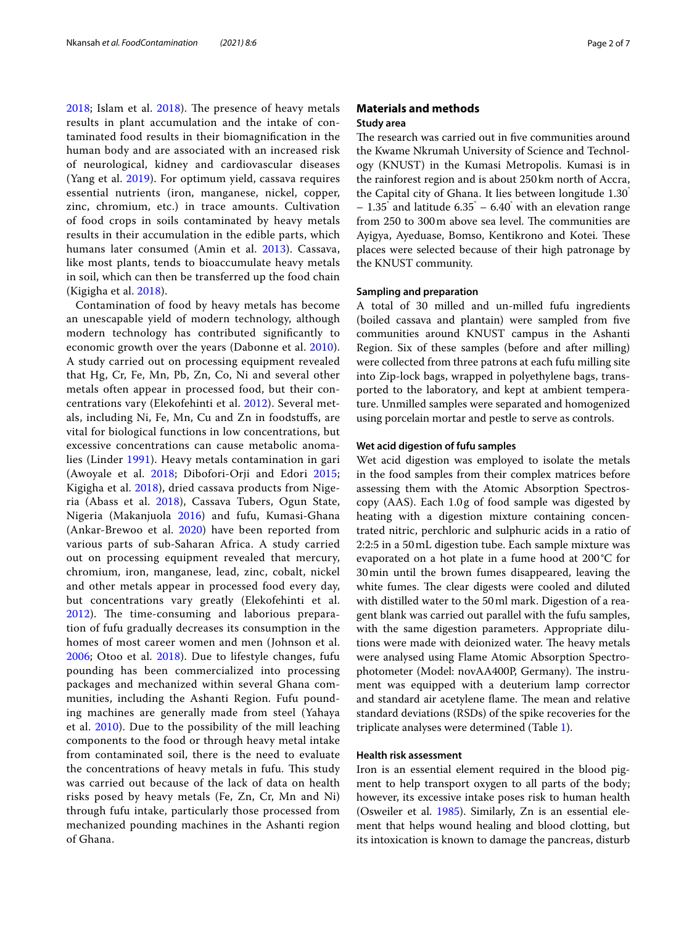$2018$ ; Islam et al.  $2018$ ). The presence of heavy metals results in plant accumulation and the intake of contaminated food results in their biomagnifcation in the human body and are associated with an increased risk of neurological, kidney and cardiovascular diseases (Yang et al. [2019](#page-6-0)). For optimum yield, cassava requires essential nutrients (iron, manganese, nickel, copper, zinc, chromium, etc.) in trace amounts. Cultivation of food crops in soils contaminated by heavy metals results in their accumulation in the edible parts, which humans later consumed (Amin et al. [2013](#page-5-13)). Cassava, like most plants, tends to bioaccumulate heavy metals in soil, which can then be transferred up the food chain (Kigigha et al. [2018\)](#page-5-14).

Contamination of food by heavy metals has become an unescapable yield of modern technology, although modern technology has contributed signifcantly to economic growth over the years (Dabonne et al. [2010\)](#page-5-15). A study carried out on processing equipment revealed that Hg, Cr, Fe, Mn, Pb, Zn, Co, Ni and several other metals often appear in processed food, but their concentrations vary (Elekofehinti et al. [2012\)](#page-5-16). Several metals, including Ni, Fe, Mn, Cu and Zn in foodstufs, are vital for biological functions in low concentrations, but excessive concentrations can cause metabolic anomalies (Linder [1991\)](#page-5-17). Heavy metals contamination in gari (Awoyale et al. [2018](#page-5-4); Dibofori-Orji and Edori [2015](#page-5-18); Kigigha et al. [2018](#page-5-14)), dried cassava products from Nigeria (Abass et al. [2018](#page-5-1)), Cassava Tubers, Ogun State, Nigeria (Makanjuola [2016](#page-5-19)) and fufu, Kumasi-Ghana (Ankar-Brewoo et al. [2020](#page-5-20)) have been reported from various parts of sub-Saharan Africa. A study carried out on processing equipment revealed that mercury, chromium, iron, manganese, lead, zinc, cobalt, nickel and other metals appear in processed food every day, but concentrations vary greatly (Elekofehinti et al. [2012\)](#page-5-16). The time-consuming and laborious preparation of fufu gradually decreases its consumption in the homes of most career women and men (Johnson et al. [2006;](#page-5-21) Otoo et al. [2018](#page-5-9)). Due to lifestyle changes, fufu pounding has been commercialized into processing packages and mechanized within several Ghana communities, including the Ashanti Region. Fufu pounding machines are generally made from steel (Yahaya et al. [2010](#page-6-1)). Due to the possibility of the mill leaching components to the food or through heavy metal intake from contaminated soil, there is the need to evaluate the concentrations of heavy metals in fufu. This study was carried out because of the lack of data on health risks posed by heavy metals (Fe, Zn, Cr, Mn and Ni) through fufu intake, particularly those processed from mechanized pounding machines in the Ashanti region of Ghana.

## **Materials and methods Study area**

The research was carried out in five communities around the Kwame Nkrumah University of Science and Technology (KNUST) in the Kumasi Metropolis. Kumasi is in the rainforest region and is about 250 km north of Accra, the Capital city of Ghana. It lies between longitude 1.30°  $-1.35$ ° and latitude  $6.35^\circ - 6.40^\circ$  with an elevation range from 250 to 300m above sea level. The communities are Ayigya, Ayeduase, Bomso, Kentikrono and Kotei. These places were selected because of their high patronage by the KNUST community.

## **Sampling and preparation**

A total of 30 milled and un-milled fufu ingredients (boiled cassava and plantain) were sampled from fve communities around KNUST campus in the Ashanti Region. Six of these samples (before and after milling) were collected from three patrons at each fufu milling site into Zip-lock bags, wrapped in polyethylene bags, transported to the laboratory, and kept at ambient temperature. Unmilled samples were separated and homogenized using porcelain mortar and pestle to serve as controls.

#### **Wet acid digestion of fufu samples**

Wet acid digestion was employed to isolate the metals in the food samples from their complex matrices before assessing them with the Atomic Absorption Spectroscopy (AAS). Each 1.0g of food sample was digested by heating with a digestion mixture containing concentrated nitric, perchloric and sulphuric acids in a ratio of 2:2:5 in a 50mL digestion tube. Each sample mixture was evaporated on a hot plate in a fume hood at 200°C for 30min until the brown fumes disappeared, leaving the white fumes. The clear digests were cooled and diluted with distilled water to the 50ml mark. Digestion of a reagent blank was carried out parallel with the fufu samples, with the same digestion parameters. Appropriate dilutions were made with deionized water. The heavy metals were analysed using Flame Atomic Absorption Spectrophotometer (Model: novAA400P, Germany). The instrument was equipped with a deuterium lamp corrector and standard air acetylene flame. The mean and relative standard deviations (RSDs) of the spike recoveries for the triplicate analyses were determined (Table [1](#page-2-0)).

#### **Health risk assessment**

Iron is an essential element required in the blood pigment to help transport oxygen to all parts of the body; however, its excessive intake poses risk to human health (Osweiler et al. [1985\)](#page-5-22). Similarly, Zn is an essential element that helps wound healing and blood clotting, but its intoxication is known to damage the pancreas, disturb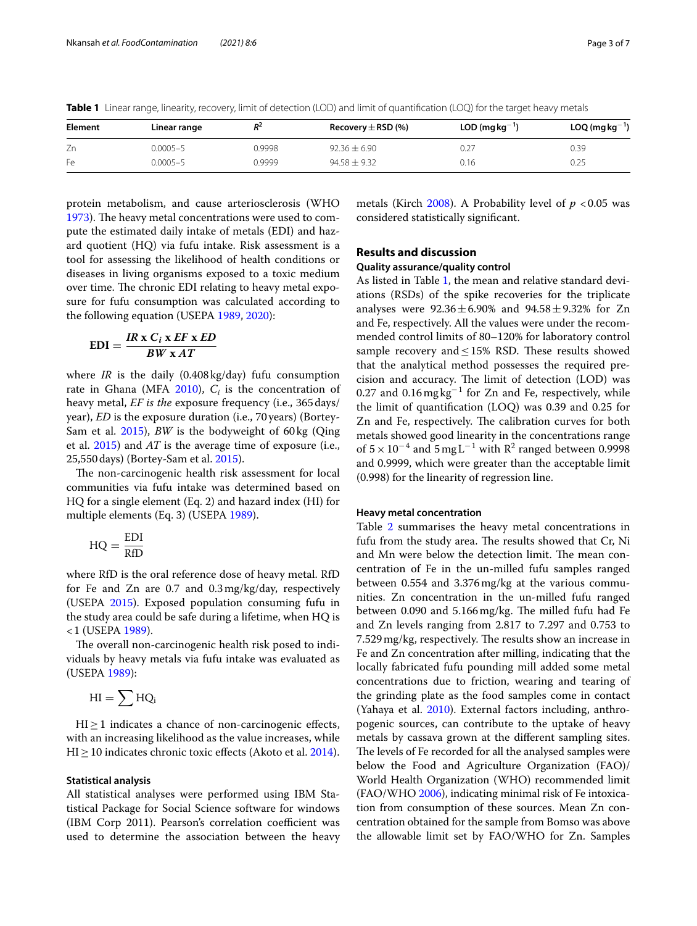<span id="page-2-0"></span>**Table 1** Linear range, linearity, recovery, limit of detection (LOD) and limit of quantification (LOQ) for the target heavy metals

| Element | Linear range | D <sup>2</sup> | Recovery $\pm$ RSD (%) | $LOD$ (mg kg <sup>-1</sup> ) | $LOQ$ (mg kg <sup>-1</sup> ) |
|---------|--------------|----------------|------------------------|------------------------------|------------------------------|
| Zn      | $0.0005 - 5$ | 0.9998         | $92.36 + 6.90$         |                              | 0.39                         |
| Fe      | $0.0005 - 5$ | 0.9999         | $94.58 + 9.32$         | 0.16                         | 0.25                         |

protein metabolism, and cause arteriosclerosis (WHO [1973](#page-5-23)). The heavy metal concentrations were used to compute the estimated daily intake of metals (EDI) and hazard quotient (HQ) via fufu intake. Risk assessment is a tool for assessing the likelihood of health conditions or diseases in living organisms exposed to a toxic medium over time. The chronic EDI relating to heavy metal exposure for fufu consumption was calculated according to the following equation (USEPA [1989,](#page-5-24) [2020\)](#page-5-25):

$$
EDI = \frac{IR \times C_i \times EF \times ED}{BW \times AT}
$$

where *IR* is the daily (0.408kg/day) fufu consumption rate in Ghana (MFA  $2010$ ),  $C<sub>i</sub>$  is the concentration of heavy metal, *EF is the* exposure frequency (i.e., 365days/ year), *ED* is the exposure duration (i.e., 70years) (Bortey-Sam et al. [2015\)](#page-5-27), *BW* is the bodyweight of 60kg (Qing et al. [2015\)](#page-5-28) and *AT* is the average time of exposure (i.e., 25,550days) (Bortey-Sam et al. [2015\)](#page-5-27).

The non-carcinogenic health risk assessment for local communities via fufu intake was determined based on HQ for a single element (Eq. 2) and hazard index (HI) for multiple elements (Eq. 3) (USEPA [1989\)](#page-5-24).

$$
HQ = \frac{EDI}{RfD}
$$

where RfD is the oral reference dose of heavy metal. RfD for Fe and Zn are 0.7 and 0.3mg/kg/day, respectively (USEPA [2015\)](#page-5-29). Exposed population consuming fufu in the study area could be safe during a lifetime, when HQ is <1 (USEPA [1989](#page-5-24)).

The overall non-carcinogenic health risk posed to individuals by heavy metals via fufu intake was evaluated as (USEPA [1989\)](#page-5-24):

$$
HI = \sum HQ_i
$$

HI≥1 indicates a chance of non-carcinogenic efects, with an increasing likelihood as the value increases, while HI ≥ 10 indicates chronic toxic effects (Akoto et al. [2014\)](#page-5-30).

#### **Statistical analysis**

All statistical analyses were performed using IBM Statistical Package for Social Science software for windows (IBM Corp 2011). Pearson's correlation coefficient was used to determine the association between the heavy

metals (Kirch [2008\)](#page-5-31). A Probability level of  $p < 0.05$  was considered statistically signifcant.

## **Results and discussion**

## **Quality assurance/quality control**

As listed in Table [1](#page-2-0), the mean and relative standard deviations (RSDs) of the spike recoveries for the triplicate analyses were  $92.36 \pm 6.90\%$  and  $94.58 \pm 9.32\%$  for Zn and Fe, respectively. All the values were under the recommended control limits of 80–120% for laboratory control sample recovery and  $\leq$  15% RSD. These results showed that the analytical method possesses the required precision and accuracy. The limit of detection (LOD) was 0.27 and 0.16 mg  $\text{kg}^{-1}$  for Zn and Fe, respectively, while the limit of quantifcation (LOQ) was 0.39 and 0.25 for Zn and Fe, respectively. The calibration curves for both metals showed good linearity in the concentrations range of  $5 \times 10^{-4}$  and  $5 \text{ mg L}^{-1}$  with R<sup>2</sup> ranged between 0.9998 and 0.9999, which were greater than the acceptable limit (0.998) for the linearity of regression line.

#### **Heavy metal concentration**

Table [2](#page-3-0) summarises the heavy metal concentrations in fufu from the study area. The results showed that Cr, Ni and Mn were below the detection limit. The mean concentration of Fe in the un-milled fufu samples ranged between 0.554 and 3.376mg/kg at the various communities. Zn concentration in the un-milled fufu ranged between 0.090 and 5.166 mg/kg. The milled fufu had Fe and Zn levels ranging from 2.817 to 7.297 and 0.753 to 7.529 mg/kg, respectively. The results show an increase in Fe and Zn concentration after milling, indicating that the locally fabricated fufu pounding mill added some metal concentrations due to friction, wearing and tearing of the grinding plate as the food samples come in contact (Yahaya et al. [2010\)](#page-6-1). External factors including, anthropogenic sources, can contribute to the uptake of heavy metals by cassava grown at the diferent sampling sites. The levels of Fe recorded for all the analysed samples were below the Food and Agriculture Organization (FAO)/ World Health Organization (WHO) recommended limit (FAO/WHO [2006](#page-5-32)), indicating minimal risk of Fe intoxication from consumption of these sources. Mean Zn concentration obtained for the sample from Bomso was above the allowable limit set by FAO/WHO for Zn. Samples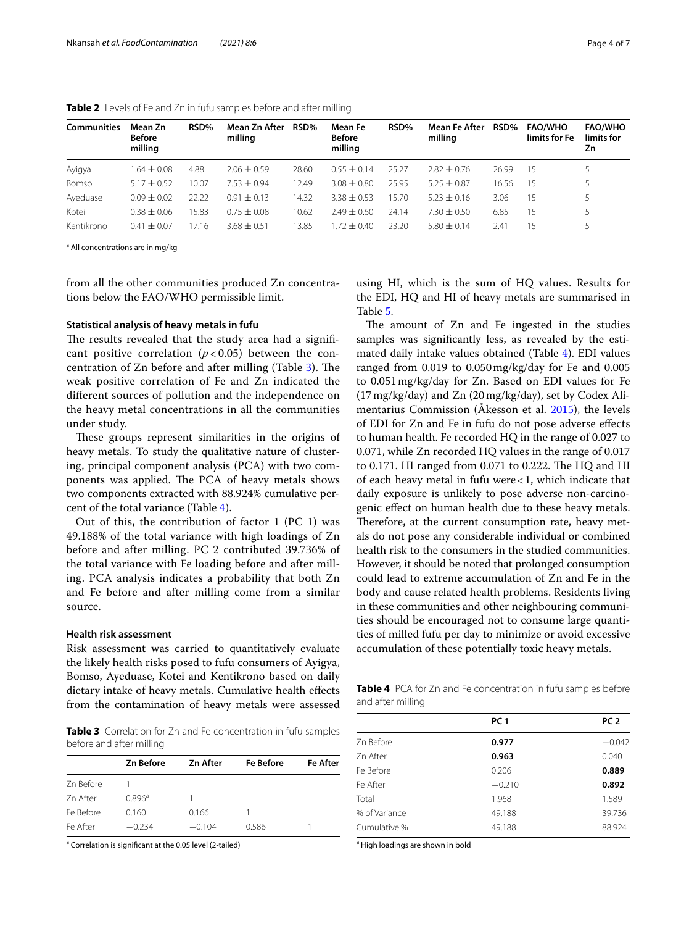| <b>Communities</b> | Mean Zn<br><b>Before</b><br>milling | RSD%  | Mean Zn After<br>milling | RSD%  | Mean Fe<br><b>Before</b><br>milling | RSD%  | <b>Mean Fe After</b><br>milling | RSD%  | <b>FAO/WHO</b><br>limits for Fe | <b>FAO/WHO</b><br>limits for<br>Ζn |
|--------------------|-------------------------------------|-------|--------------------------|-------|-------------------------------------|-------|---------------------------------|-------|---------------------------------|------------------------------------|
| Ayigya             | $1.64\pm0.08$                       | 4.88  | $2.06 \pm 0.59$          | 28.60 | $0.55 + 0.14$                       | 25.27 | $2.82 + 0.76$                   | 26.99 | 15                              |                                    |
| Bomso              | $5.17 \pm 0.52$                     | 10.07 | $7.53 + 0.94$            | 2.49  | $3.08 \pm 0.80$                     | 25.95 | $5.25 + 0.87$                   | 16.56 | 15                              |                                    |
| Ayeduase           | $0.09 \pm 0.02$                     | 22.22 | $0.91 \pm 0.13$          | 14.32 | $3.38 \pm 0.53$                     | 15.70 | $5.23 \pm 0.16$                 | 3.06  | 15                              |                                    |
| Kotei              | $0.38 + 0.06$                       | 15.83 | $0.75 \pm 0.08$          | 10.62 | $7.49 \pm 0.60$                     | 24.14 | $7.30 + 0.50$                   | 6.85  | 15                              |                                    |
| Kentikrono         | $+0.07$<br>041                      | 17.16 | $3.68 + 0.51$            | 3.85  | $72 + 040$                          | 23.20 | $5.80 \pm 0.14$                 | 2.41  | 15                              |                                    |

<span id="page-3-0"></span>**Table 2** Levels of Fe and Zn in fufu samples before and after milling

<sup>a</sup> All concentrations are in mg/kg

from all the other communities produced Zn concentrations below the FAO/WHO permissible limit.

### **Statistical analysis of heavy metals in fufu**

The results revealed that the study area had a significant positive correlation  $(p < 0.05)$  between the concentration of  $Zn$  before and after milling (Table [3\)](#page-3-1). The weak positive correlation of Fe and Zn indicated the diferent sources of pollution and the independence on the heavy metal concentrations in all the communities under study.

These groups represent similarities in the origins of heavy metals. To study the qualitative nature of clustering, principal component analysis (PCA) with two components was applied. The PCA of heavy metals shows two components extracted with 88.924% cumulative percent of the total variance (Table [4\)](#page-3-2).

Out of this, the contribution of factor 1 (PC 1) was 49.188% of the total variance with high loadings of Zn before and after milling. PC 2 contributed 39.736% of the total variance with Fe loading before and after milling. PCA analysis indicates a probability that both Zn and Fe before and after milling come from a similar source.

#### **Health risk assessment**

Risk assessment was carried to quantitatively evaluate the likely health risks posed to fufu consumers of Ayigya, Bomso, Ayeduase, Kotei and Kentikrono based on daily dietary intake of heavy metals. Cumulative health efects from the contamination of heavy metals were assessed

<span id="page-3-1"></span>**Table 3** Correlation for Zn and Fe concentration in fufu samples before and after milling

|           | <b>Zn Before</b>   | <b>Zn After</b> | <b>Fe Before</b> | <b>Fe After</b> |
|-----------|--------------------|-----------------|------------------|-----------------|
| Zn Before |                    |                 |                  |                 |
| 7n After  | $0.896^{\text{a}}$ |                 |                  |                 |
| Fe Before | 0.160              | 0.166           |                  |                 |
| Fe After  | $-0.234$           | $-0.104$        | 0.586            |                 |

<sup>a</sup> Correlation is significant at the 0.05 level (2-tailed)

using HI, which is the sum of HQ values. Results for the EDI, HQ and HI of heavy metals are summarised in Table [5](#page-4-0).

The amount of Zn and Fe ingested in the studies samples was signifcantly less, as revealed by the estimated daily intake values obtained (Table [4](#page-3-2)). EDI values ranged from 0.019 to 0.050mg/kg/day for Fe and 0.005 to 0.051mg/kg/day for Zn. Based on EDI values for Fe (17mg/kg/day) and Zn (20mg/kg/day), set by Codex Alimentarius Commission (Åkesson et al. [2015](#page-5-33)), the levels of EDI for Zn and Fe in fufu do not pose adverse efects to human health. Fe recorded HQ in the range of 0.027 to 0.071, while Zn recorded HQ values in the range of 0.017 to  $0.171$ . HI ranged from  $0.071$  to  $0.222$ . The HQ and HI of each heavy metal in fufu were<1, which indicate that daily exposure is unlikely to pose adverse non-carcinogenic efect on human health due to these heavy metals. Therefore, at the current consumption rate, heavy metals do not pose any considerable individual or combined health risk to the consumers in the studied communities. However, it should be noted that prolonged consumption could lead to extreme accumulation of Zn and Fe in the body and cause related health problems. Residents living in these communities and other neighbouring communities should be encouraged not to consume large quantities of milled fufu per day to minimize or avoid excessive accumulation of these potentially toxic heavy metals.

<span id="page-3-2"></span>**Table 4** PCA for Zn and Fe concentration in fufu samples before and after milling

|               | PC <sub>1</sub> | PC <sub>2</sub> |
|---------------|-----------------|-----------------|
| Zn Before     | 0.977           | $-0.042$        |
| 7n After      | 0.963           | 0.040           |
| Fe Before     | 0.206           | 0.889           |
| Fe After      | $-0.210$        | 0.892           |
| Total         | 1.968           | 1.589           |
| % of Variance | 49.188          | 39.736          |
| Cumulative %  | 49.188          | 88.924          |
|               |                 |                 |

<sup>a</sup> High loadings are shown in bold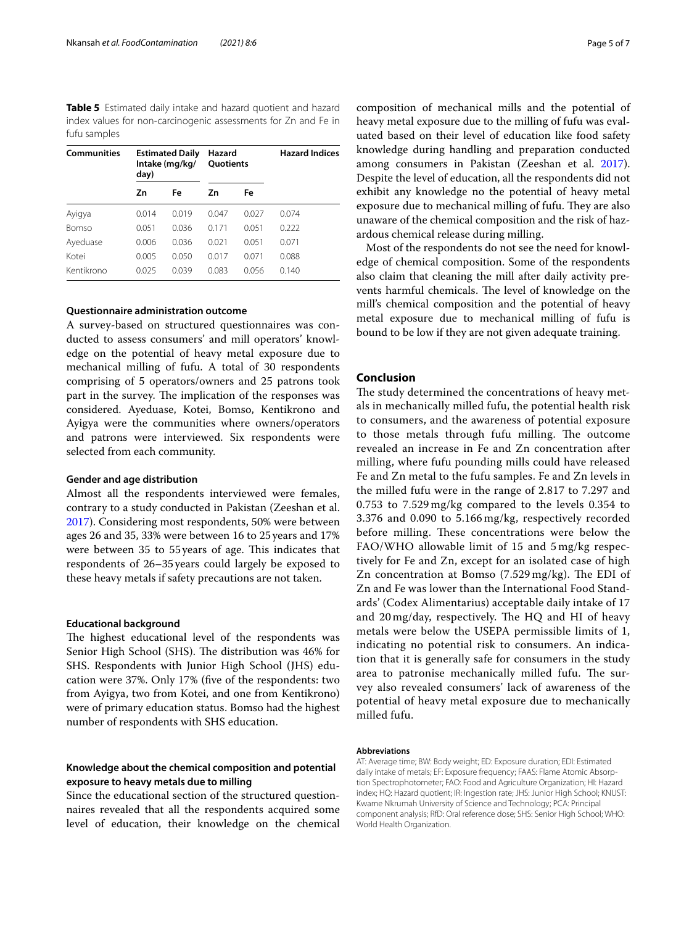<span id="page-4-0"></span>**Table 5** Estimated daily intake and hazard quotient and hazard index values for non-carcinogenic assessments for Zn and Fe in fufu samples

| <b>Communities</b> | day)  | <b>Estimated Daily</b><br>Intake (mg/kg/ | Hazard<br><b>Ouotients</b> |       | <b>Hazard Indices</b> |  |
|--------------------|-------|------------------------------------------|----------------------------|-------|-----------------------|--|
|                    | Zn    | Fe                                       | Ζn                         | Fe    |                       |  |
| Ayigya             | 0.014 | 0.019                                    | 0.047                      | 0.027 | 0.074                 |  |
| Bomso              | 0.051 | 0.036                                    | 0.171                      | 0.051 | 0.222                 |  |
| Ayeduase           | 0.006 | 0.036                                    | 0.021                      | 0.051 | 0.071                 |  |
| Kotei              | 0.005 | 0.050                                    | 0.017                      | 0.071 | 0.088                 |  |
| Kentikrono         | 0.025 | 0.039                                    | 0.083                      | 0.056 | 0.140                 |  |

## **Questionnaire administration outcome**

A survey-based on structured questionnaires was conducted to assess consumers' and mill operators' knowledge on the potential of heavy metal exposure due to mechanical milling of fufu. A total of 30 respondents comprising of 5 operators/owners and 25 patrons took part in the survey. The implication of the responses was considered. Ayeduase, Kotei, Bomso, Kentikrono and Ayigya were the communities where owners/operators and patrons were interviewed. Six respondents were selected from each community.

#### **Gender and age distribution**

Almost all the respondents interviewed were females, contrary to a study conducted in Pakistan (Zeeshan et al. [2017](#page-6-2)). Considering most respondents, 50% were between ages 26 and 35, 33% were between 16 to 25years and 17% were between 35 to 55 years of age. This indicates that respondents of 26–35years could largely be exposed to these heavy metals if safety precautions are not taken.

## **Educational background**

The highest educational level of the respondents was Senior High School (SHS). The distribution was 46% for SHS. Respondents with Junior High School (JHS) education were 37%. Only 17% (fve of the respondents: two from Ayigya, two from Kotei, and one from Kentikrono) were of primary education status. Bomso had the highest number of respondents with SHS education.

# **Knowledge about the chemical composition and potential exposure to heavy metals due to milling**

Since the educational section of the structured questionnaires revealed that all the respondents acquired some level of education, their knowledge on the chemical composition of mechanical mills and the potential of heavy metal exposure due to the milling of fufu was evaluated based on their level of education like food safety knowledge during handling and preparation conducted among consumers in Pakistan (Zeeshan et al. [2017](#page-6-2)). Despite the level of education, all the respondents did not exhibit any knowledge no the potential of heavy metal exposure due to mechanical milling of fufu. They are also unaware of the chemical composition and the risk of hazardous chemical release during milling.

Most of the respondents do not see the need for knowledge of chemical composition. Some of the respondents also claim that cleaning the mill after daily activity prevents harmful chemicals. The level of knowledge on the mill's chemical composition and the potential of heavy metal exposure due to mechanical milling of fufu is bound to be low if they are not given adequate training.

## **Conclusion**

The study determined the concentrations of heavy metals in mechanically milled fufu, the potential health risk to consumers, and the awareness of potential exposure to those metals through fufu milling. The outcome revealed an increase in Fe and Zn concentration after milling, where fufu pounding mills could have released Fe and Zn metal to the fufu samples. Fe and Zn levels in the milled fufu were in the range of 2.817 to 7.297 and 0.753 to 7.529 mg/kg compared to the levels 0.354 to 3.376 and 0.090 to 5.166 mg/kg, respectively recorded before milling. These concentrations were below the FAO/WHO allowable limit of 15 and 5 mg/kg respectively for Fe and Zn, except for an isolated case of high Zn concentration at Bomso (7.529 mg/kg). The EDI of Zn and Fe was lower than the International Food Standards' (Codex Alimentarius) acceptable daily intake of 17 and  $20 \,\text{mg/day}$ , respectively. The HQ and HI of heavy metals were below the USEPA permissible limits of 1, indicating no potential risk to consumers. An indication that it is generally safe for consumers in the study area to patronise mechanically milled fufu. The survey also revealed consumers' lack of awareness of the potential of heavy metal exposure due to mechanically milled fufu.

#### **Abbreviations**

AT: Average time; BW: Body weight; ED: Exposure duration; EDI: Estimated daily intake of metals; EF: Exposure frequency: FAAS: Flame Atomic Absorption Spectrophotometer; FAO: Food and Agriculture Organization; HI: Hazard index; HQ: Hazard quotient; IR: Ingestion rate; JHS: Junior High School; KNUST: Kwame Nkrumah University of Science and Technology; PCA: Principal component analysis; RfD: Oral reference dose; SHS: Senior High School; WHO: World Health Organization.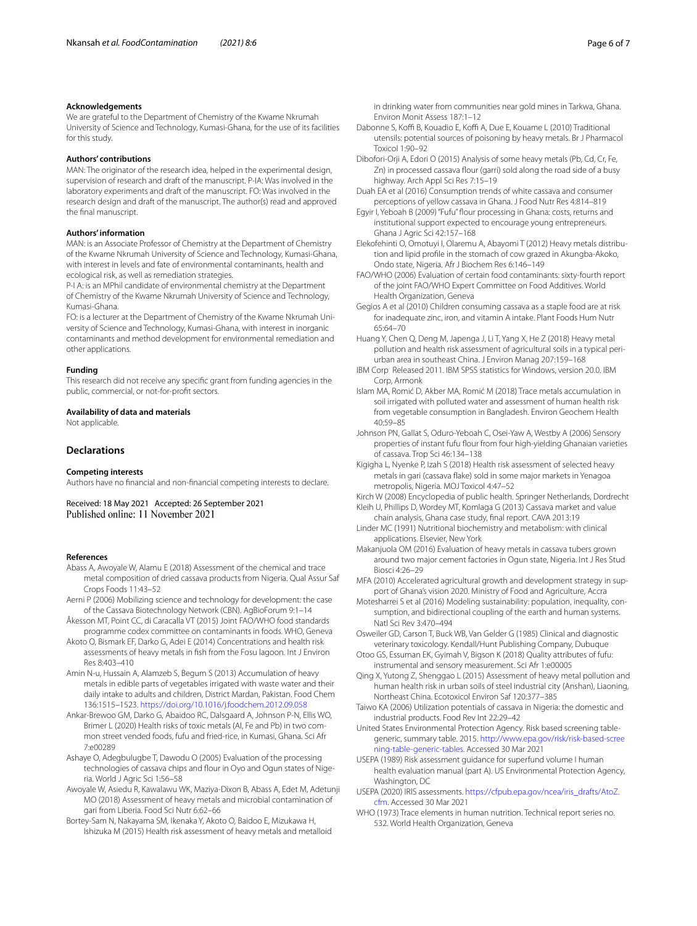We are grateful to the Department of Chemistry of the Kwame Nkrumah University of Science and Technology, Kumasi-Ghana, for the use of its facilities for this study.

#### **Authors' contributions**

MAN: The originator of the research idea, helped in the experimental design, supervision of research and draft of the manuscript. P-IA: Was involved in the laboratory experiments and draft of the manuscript. FO: Was involved in the research design and draft of the manuscript. The author(s) read and approved the fnal manuscript.

#### **Authors' information**

MAN: is an Associate Professor of Chemistry at the Department of Chemistry of the Kwame Nkrumah University of Science and Technology, Kumasi-Ghana, with interest in levels and fate of environmental contaminants, health and ecological risk, as well as remediation strategies.

P-I A: is an MPhil candidate of environmental chemistry at the Department of Chemistry of the Kwame Nkrumah University of Science and Technology, Kumasi-Ghana.

FO: is a lecturer at the Department of Chemistry of the Kwame Nkrumah University of Science and Technology, Kumasi-Ghana, with interest in inorganic contaminants and method development for environmental remediation and other applications.

#### **Funding**

This research did not receive any specifc grant from funding agencies in the public, commercial, or not-for-proft sectors.

## **Availability of data and materials**

Not applicable.

#### **Declarations**

#### **Competing interests**

Authors have no fnancial and non-fnancial competing interests to declare.

Received: 18 May 2021 Accepted: 26 September 2021 Published online: 11 November 2021

#### **References**

- <span id="page-5-1"></span>Abass A, Awoyale W, Alamu E (2018) Assessment of the chemical and trace metal composition of dried cassava products from Nigeria. Qual Assur Saf Crops Foods 11:43–52
- <span id="page-5-0"></span>Aerni P (2006) Mobilizing science and technology for development: the case of the Cassava Biotechnology Network (CBN). AgBioForum 9:1–14
- <span id="page-5-33"></span>Åkesson MT, Point CC, di Caracalla VT (2015) Joint FAO/WHO food standards programme codex committee on contaminants in foods. WHO, Geneva
- <span id="page-5-30"></span>Akoto O, Bismark EF, Darko G, Adei E (2014) Concentrations and health risk assessments of heavy metals in fsh from the Fosu lagoon. Int J Environ Res 8:403–410

<span id="page-5-13"></span>Amin N-u, Hussain A, Alamzeb S, Begum S (2013) Accumulation of heavy metals in edible parts of vegetables irrigated with waste water and their daily intake to adults and children, District Mardan, Pakistan. Food Chem 136:1515–1523. <https://doi.org/10.1016/j.foodchem.2012.09.058>

- <span id="page-5-20"></span>Ankar-Brewoo GM, Darko G, Abaidoo RC, Dalsgaard A, Johnson P-N, Ellis WO, Brimer L (2020) Health risks of toxic metals (Al, Fe and Pb) in two common street vended foods, fufu and fried-rice, in Kumasi, Ghana. Sci Afr 7:e00289
- <span id="page-5-3"></span>Ashaye O, Adegbulugbe T, Dawodu O (2005) Evaluation of the processing technologies of cassava chips and flour in Oyo and Ogun states of Nigeria. World J Agric Sci 1:56–58

<span id="page-5-4"></span>Awoyale W, Asiedu R, Kawalawu WK, Maziya-Dixon B, Abass A, Edet M, Adetunji MO (2018) Assessment of heavy metals and microbial contamination of gari from Liberia. Food Sci Nutr 6:62–66

<span id="page-5-27"></span>Bortey-Sam N, Nakayama SM, Ikenaka Y, Akoto O, Baidoo E, Mizukawa H, Ishizuka M (2015) Health risk assessment of heavy metals and metalloid in drinking water from communities near gold mines in Tarkwa, Ghana. Environ Monit Assess 187:1–12

- <span id="page-5-15"></span>Dabonne S, Koffi B, Kouadio E, Koffi A, Due E, Kouame L (2010) Traditional utensils: potential sources of poisoning by heavy metals. Br J Pharmacol Toxicol 1:90–92
- <span id="page-5-18"></span>Dibofori-Orji A, Edori O (2015) Analysis of some heavy metals (Pb, Cd, Cr, Fe, Zn) in processed cassava flour (garri) sold along the road side of a busy highway. Arch Appl Sci Res 7:15–19

<span id="page-5-6"></span>Duah EA et al (2016) Consumption trends of white cassava and consumer perceptions of yellow cassava in Ghana. J Food Nutr Res 4:814–819

- <span id="page-5-8"></span>Egyir I, Yeboah B (2009) "Fufu" flour processing in Ghana: costs, returns and institutional support expected to encourage young entrepreneurs. Ghana J Agric Sci 42:157–168
- <span id="page-5-16"></span>Elekofehinti O, Omotuyi I, Olaremu A, Abayomi T (2012) Heavy metals distribution and lipid profle in the stomach of cow grazed in Akungba-Akoko, Ondo state, Nigeria. Afr J Biochem Res 6:146–149
- <span id="page-5-32"></span>FAO/WHO (2006) Evaluation of certain food contaminants: sixty-fourth report of the joint FAO/WHO Expert Committee on Food Additives. World Health Organization, Geneva
- <span id="page-5-2"></span>Gegios A et al (2010) Children consuming cassava as a staple food are at risk for inadequate zinc, iron, and vitamin A intake. Plant Foods Hum Nutr 65:64–70
- <span id="page-5-11"></span>Huang Y, Chen Q, Deng M, Japenga J, Li T, Yang X, He Z (2018) Heavy metal pollution and health risk assessment of agricultural soils in a typical periurban area in southeast China. J Environ Manag 207:159–168
- IBM Corp Released 2011. IBM SPSS statistics for Windows, version 20.0. IBM Corp, Armonk
- <span id="page-5-12"></span>Islam MA, Romić D, Akber MA, Romić M (2018) Trace metals accumulation in soil irrigated with polluted water and assessment of human health risk from vegetable consumption in Bangladesh. Environ Geochem Health 40:59–85
- <span id="page-5-21"></span>Johnson PN, Gallat S, Oduro-Yeboah C, Osei-Yaw A, Westby A (2006) Sensory properties of instant fufu flour from four high-yielding Ghanaian varieties of cassava. Trop Sci 46:134–138
- <span id="page-5-14"></span>Kigigha L, Nyenke P, Izah S (2018) Health risk assessment of selected heavy metals in gari (cassava fake) sold in some major markets in Yenagoa metropolis, Nigeria. MOJ Toxicol 4:47–52
- <span id="page-5-31"></span><span id="page-5-7"></span>Kirch W (2008) Encyclopedia of public health. Springer Netherlands, Dordrecht Kleih U, Phillips D, Wordey MT, Komlaga G (2013) Cassava market and value
- chain analysis, Ghana case study, fnal report. CAVA 2013:19
- <span id="page-5-17"></span>Linder MC (1991) Nutritional biochemistry and metabolism: with clinical applications. Elsevier, New York
- <span id="page-5-19"></span>Makanjuola OM (2016) Evaluation of heavy metals in cassava tubers grown around two major cement factories in Ogun state, Nigeria. Int J Res Stud Biosci 4:26–29
- <span id="page-5-26"></span>MFA (2010) Accelerated agricultural growth and development strategy in support of Ghana's vision 2020. Ministry of Food and Agriculture, Accra
- <span id="page-5-10"></span>Motesharrei S et al (2016) Modeling sustainability: population, inequality, consumption, and bidirectional coupling of the earth and human systems. Natl Sci Rev 3:470–494
- <span id="page-5-22"></span>Osweiler GD, Carson T, Buck WB, Van Gelder G (1985) Clinical and diagnostic veterinary toxicology. Kendall/Hunt Publishing Company, Dubuque
- <span id="page-5-9"></span>Otoo GS, Essuman EK, Gyimah V, Bigson K (2018) Quality attributes of fufu: instrumental and sensory measurement. Sci Afr 1:e00005
- <span id="page-5-28"></span>Qing X, Yutong Z, Shenggao L (2015) Assessment of heavy metal pollution and human health risk in urban soils of steel industrial city (Anshan), Liaoning, Northeast China. Ecotoxicol Environ Saf 120:377–385
- <span id="page-5-5"></span>Taiwo KA (2006) Utilization potentials of cassava in Nigeria: the domestic and industrial products. Food Rev Int 22:29–42
- <span id="page-5-29"></span>United States Environmental Protection Agency. Risk based screening tablegeneric, summary table. 2015. [http://www.epa.gov/risk/risk-based-scree](http://www.epa.gov/risk/risk-based-screening-table-generic-tables) [ning-table-generic-tables.](http://www.epa.gov/risk/risk-based-screening-table-generic-tables) Accessed 30 Mar 2021
- <span id="page-5-24"></span>USEPA (1989) Risk assessment guidance for superfund volume I human health evaluation manual (part A). US Environmental Protection Agency, Washington, DC
- <span id="page-5-25"></span>USEPA (2020) IRIS assessments. [https://cfpub.epa.gov/ncea/iris\\_drafts/AtoZ.](https://cfpub.epa.gov/ncea/iris_drafts/AtoZ.cfm) [cfm](https://cfpub.epa.gov/ncea/iris_drafts/AtoZ.cfm). Accessed 30 Mar 2021
- <span id="page-5-23"></span>WHO (1973) Trace elements in human nutrition. Technical report series no. 532. World Health Organization, Geneva